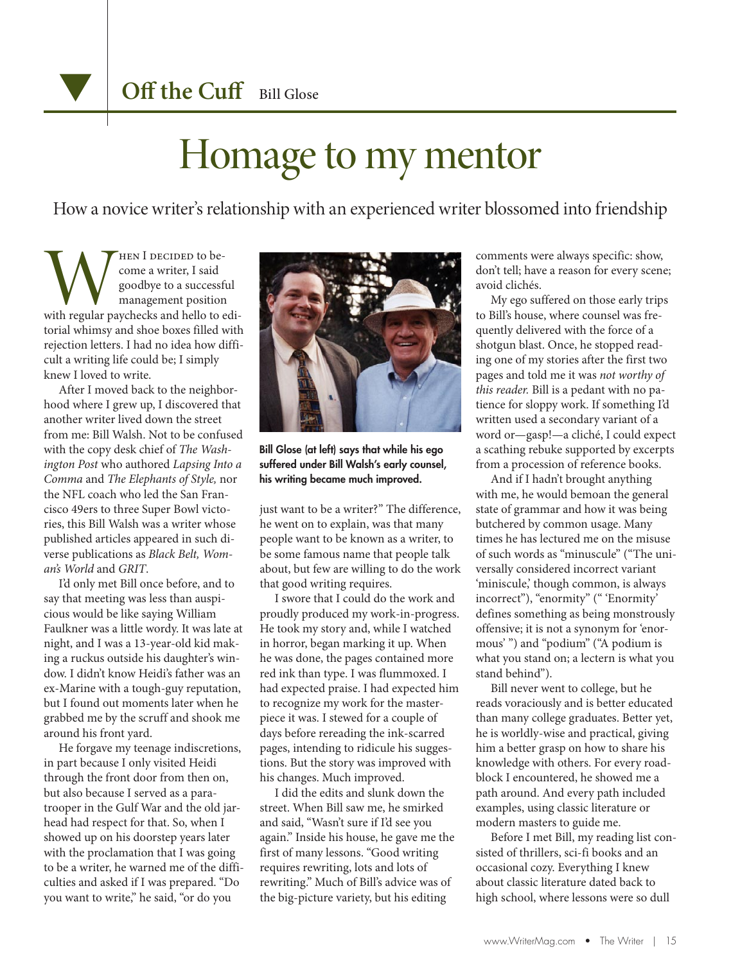## Homage to my mentor

How a novice writer's relationship with an experienced writer blossomed into friendship

WHEN I DECIDED to be-<br>come a writer, I said<br>goodbye to a successful<br>management position<br>with regular paychecks and hello to edicome a writer, I said goodbye to a successful management position torial whimsy and shoe boxes filled with rejection letters. I had no idea how difficult a writing life could be; I simply knew I loved to write.

After I moved back to the neighborhood where I grew up, I discovered that another writer lived down the street from me: Bill Walsh. Not to be confused with the copy desk chief of *The Washington Post* who authored *Lapsing Into a Comma* and *The Elephants of Style,* nor the NFL coach who led the San Francisco 49ers to three Super Bowl victories, this Bill Walsh was a writer whose published articles appeared in such diverse publications as *Black Belt, Woman's World* and *GRIT*.

I'd only met Bill once before, and to say that meeting was less than auspicious would be like saying William Faulkner was a little wordy. It was late at night, and I was a 13-year-old kid making a ruckus outside his daughter's window. I didn't know Heidi's father was an ex-Marine with a tough-guy reputation, but I found out moments later when he grabbed me by the scruff and shook me around his front yard.

He forgave my teenage indiscretions, in part because I only visited Heidi through the front door from then on, but also because I served as a paratrooper in the Gulf War and the old jarhead had respect for that. So, when I showed up on his doorstep years later with the proclamation that I was going to be a writer, he warned me of the difficulties and asked if I was prepared. "Do you want to write," he said, "or do you



Bill Glose (at left) says that while his ego suffered under Bill Walsh's early counsel, his writing became much improved.

just want to be a writer?" The difference, he went on to explain, was that many people want to be known as a writer, to be some famous name that people talk about, but few are willing to do the work that good writing requires.

I swore that I could do the work and proudly produced my work-in-progress. He took my story and, while I watched in horror, began marking it up. When he was done, the pages contained more red ink than type. I was flummoxed. I had expected praise. I had expected him to recognize my work for the masterpiece it was. I stewed for a couple of days before rereading the ink-scarred pages, intending to ridicule his suggestions. But the story was improved with his changes. Much improved.

I did the edits and slunk down the street. When Bill saw me, he smirked and said, "Wasn't sure if I'd see you again." Inside his house, he gave me the first of many lessons. "Good writing requires rewriting, lots and lots of rewriting." Much of Bill's advice was of the big-picture variety, but his editing

comments were always specific: show, don't tell; have a reason for every scene; avoid clichés.

My ego suffered on those early trips to Bill's house, where counsel was frequently delivered with the force of a shotgun blast. Once, he stopped reading one of my stories after the first two pages and told me it was *not worthy of this reader.* Bill is a pedant with no patience for sloppy work. If something I'd written used a secondary variant of a word or—gasp!—a cliché, I could expect a scathing rebuke supported by excerpts from a procession of reference books.

And if I hadn't brought anything with me, he would bemoan the general state of grammar and how it was being butchered by common usage. Many times he has lectured me on the misuse of such words as "minuscule" ("The universally considered incorrect variant 'miniscule,' though common, is always incorrect"), "enormity" (" 'Enormity' defines something as being monstrously offensive; it is not a synonym for 'enormous' ") and "podium" ("A podium is what you stand on; a lectern is what you stand behind").

Bill never went to college, but he reads voraciously and is better educated than many college graduates. Better yet, he is worldly-wise and practical, giving him a better grasp on how to share his knowledge with others. For every roadblock I encountered, he showed me a path around. And every path included examples, using classic literature or modern masters to guide me.

Before I met Bill, my reading list consisted of thrillers, sci-fi books and an occasional cozy. Everything I knew about classic literature dated back to high school, where lessons were so dull